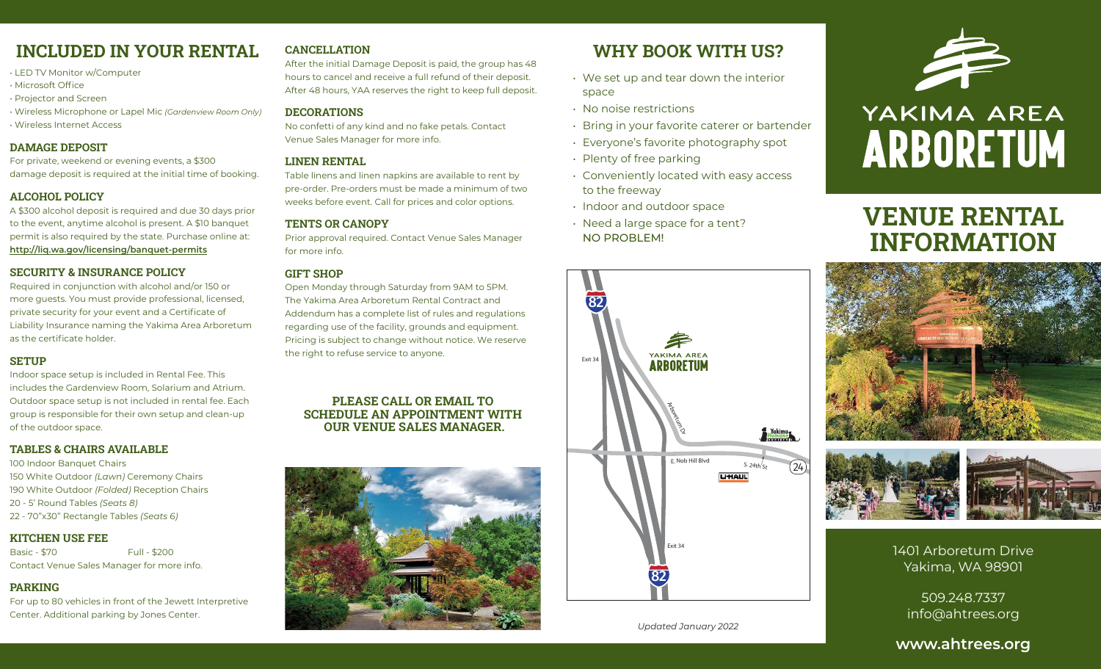# **INCLUDED IN YOUR RENTAL**

- LED TV Monitor w/Computer
- Microsoft Office
- Projector and Screen
- Wireless Microphone or Lapel Mic *(Gardenview Room Only)*
- Wireless Internet Access

#### **DAMAGE DEPOSIT**

For private, weekend or evening events, a \$300 damage deposit is required at the initial time of booking.

#### **ALCOHOL POLICY**

A \$300 alcohol deposit is required and due 30 days prior to the event, anytime alcohol is present. A \$10 banquet permit is also required by the state. Purchase online at: **http://liq.wa.gov/licensing/banquet-permits**

#### **SECURITY & INSURANCE POLICY**

Required in conjunction with alcohol and/or 150 or more guests. You must provide professional, licensed, private security for your event and a Certificate of Liability Insurance naming the Yakima Area Arboretum as the certificate holder.

#### **SETUP**

Indoor space setup is included in Rental Fee. This includes the Gardenview Room, Solarium and Atrium. Outdoor space setup is not included in rental fee. Each group is responsible for their own setup and clean-up of the outdoor space.

#### **TABLES & CHAIRS AVAILABLE**

100 Indoor Banquet Chairs 150 White Outdoor *(Lawn)* Ceremony Chairs 190 White Outdoor *(Folded)* Reception Chairs 20 - 5' Round Tables *(Seats 8)* 22 - 70"x30" Rectangle Tables *(Seats 6)*

#### **KITCHEN USE FEE**

Basic - \$70 Full - \$200 Contact Venue Sales Manager for more info.

#### **PARKING**

For up to 80 vehicles in front of the Jewett Interpretive Center. Additional parking by Jones Center.

#### **CANCELLATION**

After the initial Damage Deposit is paid, the group has 48 hours to cancel and receive a full refund of their deposit. After 48 hours, YAA reserves the right to keep full deposit.

#### **DECORATIONS**

No confetti of any kind and no fake petals. Contact Venue Sales Manager for more info.

#### **LINEN RENTAL**

Table linens and linen napkins are available to rent by pre-order. Pre-orders must be made a minimum of two weeks before event. Call for prices and color options.

#### **TENTS OR CANOPY**

Prior approval required. Contact Venue Sales Manager for more info.

#### **GIFT SHOP**

Open Monday through Saturday from 9AM to 5PM. The Yakima Area Arboretum Rental Contract and Addendum has a complete list of rules and regulations regarding use of the facility, grounds and equipment. Pricing is subject to change without notice. We reserve the right to refuse service to anyone.

#### **PLEASE CALL OR EMAIL TO SCHEDULE AN APPOINTMENT WITH OUR VENUE SALES MANAGER.**



# **WHY BOOK WITH US?**

- We set up and tear down the interior space
- No noise restrictions
- Bring in your favorite caterer or bartender
- Everyone's favorite photography spot
- Plenty of free parking
- Conveniently located with easy access to the freeway
- Indoor and outdoor space
- Need a large space for a tent? NO PROBLEM!







# YAKIMA AREA **ARBORETUM**

# **VENUE RENTAL INFORMATION**





1401 Arboretum Drive Yakima, WA 98901

> 509.248.7337 info@ahtrees.org

### **www.ahtrees.org**